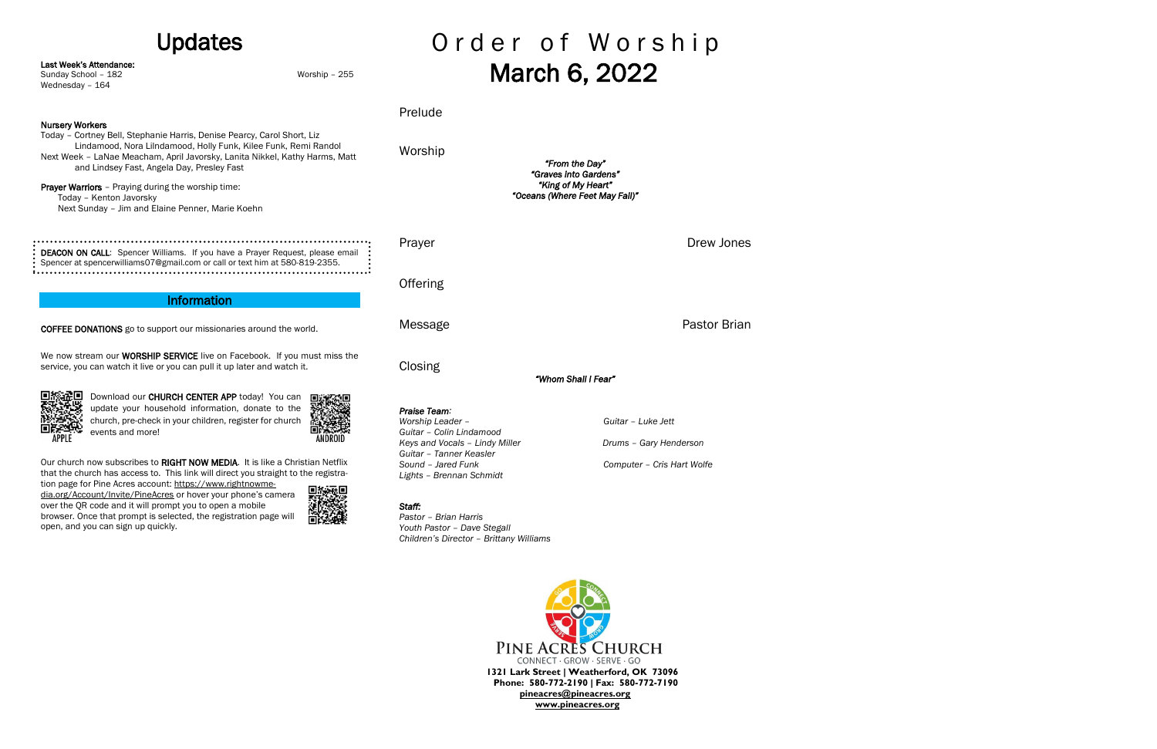# Updates

Last Week's Attendance:

Wednesday - 164

Sunday School – 182 Worship – 255

Nursery Workers Today – Cortney Bell, Stephanie Harris, Denise Pearcy, Carol Short, Liz Lindamood, Nora Lilndamood, Holly Funk, Kilee Funk, Remi Randol Next Week – LaNae Meacham, April Javorsky, Lanita Nikkel, Kathy Harms, Matt and Lindsey Fast, Angela Day, Presley Fast Prayer Warriors - Praying during the worship time: Today – Kenton Javorsky Next Sunday – Jim and Elaine Penner, Marie Koehn

DEACON ON CALL: Spencer Williams. If you have a Prayer Request, please email Spencer at spencerwilliams07@gmail.com or call or text him at 580-819-2355.

We now stream our **WORSHIP SERVICE** live on Facebook. If you must miss the service, you can watch it live or you can pull it up later and watch it.



Our church now subscribes to RIGHT NOW MEDIA. It is like a Christian Netflix that the church has access to. This link will direct you straight to the registra-

### Information

COFFEE DONATIONS go to support our missionaries around the world.

tion page for Pine Acres account: [https://www.rightnowme](https://www.rightnowmedia.org/Account/Invite/PineAcres)[dia.org/Account/Invite/PineAcres](https://www.rightnowmedia.org/Account/Invite/PineAcres) or hover your phone's camera over the QR code and it will prompt you to open a mobile browser. Once that prompt is selected, the registration page will open, and you can sign up quickly.



# Order of Worship March 6, 2022

Download our CHURCH CENTER APP today! You can update your household information, donate to the church, pre-check in your children, register for church events and more!

Prelude

Worship

*"From the Day" "Graves into Gardens" "King of My Heart" "Oceans (Where Feet May Fail)"* 

Prayer **Drew Jones** Drew Jones

**Offering** 

Closing

*"Whom Shall I Fear"* 

Message **Pastor Brian** 

*Praise Team:*

*Worship Leader – Guitar – Luke Jett*

*Guitar – Colin Lindamood*

*Keys and Vocals – Lindy Miller Drums – Gary Henderson*

*Guitar – Tanner Keasler*

*Sound – Jared Funk Computer – Cris Hart Wolfe*

*Lights – Brennan Schmidt*

## *Staff:*

*Pastor – Brian Harris Youth Pastor – Dave Stegall Children's Director – Brittany Williams*